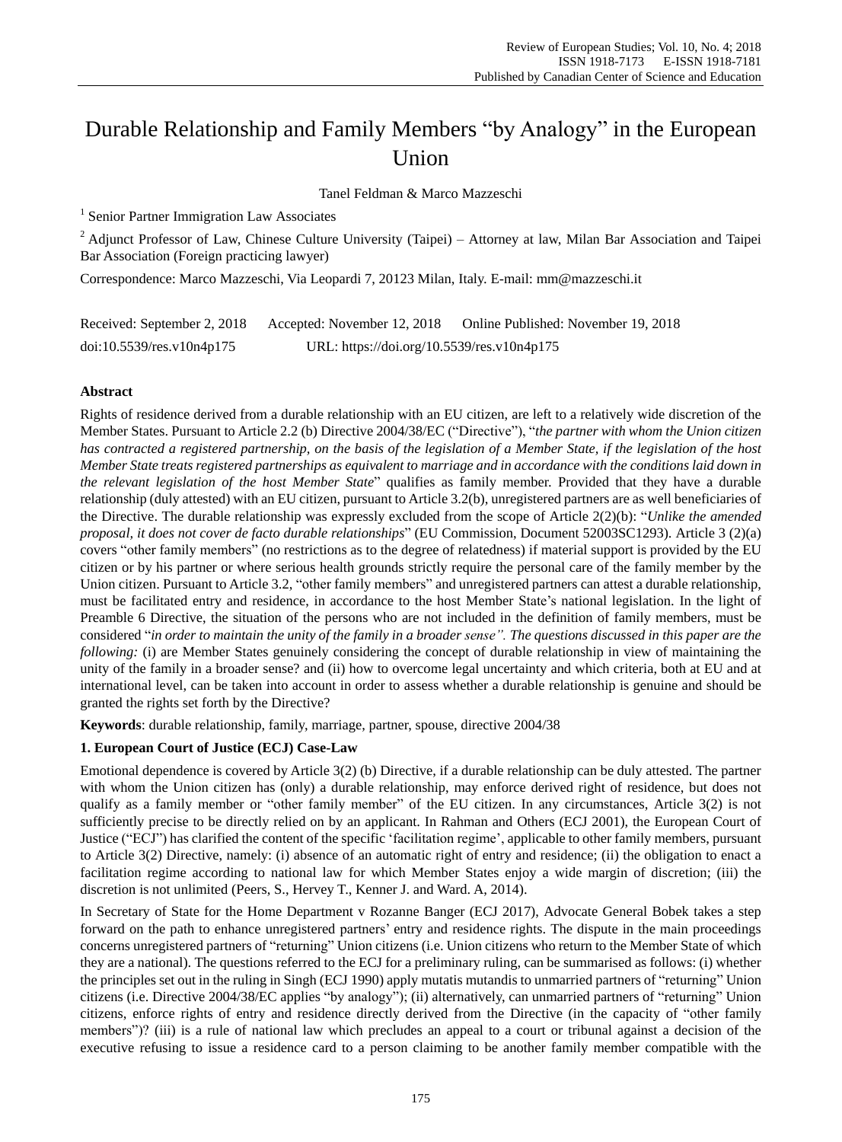# Durable Relationship and Family Members "by Analogy" in the European Union

Tanel Feldman & Marco Mazzeschi

<sup>1</sup> Senior Partner Immigration Law Associates

<sup>2</sup> Adjunct Professor of Law, Chinese Culture University (Taipei) – Attorney at law, Milan Bar Association and Taipei Bar Association (Foreign practicing lawyer)

Correspondence: Marco Mazzeschi, Via Leopardi 7, 20123 Milan, Italy. E-mail: mm@mazzeschi.it

| Received: September 2, 2018  | Accepted: November 12, 2018                | Online Published: November 19, 2018 |
|------------------------------|--------------------------------------------|-------------------------------------|
| $doi:10.5539$ /res.v10n4p175 | URL: https://doi.org/10.5539/res.v10n4p175 |                                     |

## **Abstract**

Rights of residence derived from a durable relationship with an EU citizen, are left to a relatively wide discretion of the Member States. Pursuant to Article 2.2 (b) Directive 2004/38/EC ("Directive"), "*the partner with whom the Union citizen* has contracted a registered partnership, on the basis of the legislation of a Member State, if the legislation of the host Member State treats registered partnerships as equivalent to marriage and in accordance with the conditions laid down in *the relevant legislation of the host Member State*" qualifies as family member. Provided that they have a durable relationship (duly attested) with an EU citizen, pursuant to Article 3.2(b), unregistered partners are as well beneficiaries of the Directive. The durable relationship was expressly excluded from the scope of Article 2(2)(b): "*Unlike the amended proposal, it does not cover de facto durable relationships*" (EU Commission, Document 52003SC1293). Article 3 (2)(a) covers "other family members" (no restrictions as to the degree of relatedness) if material support is provided by the EU citizen or by his partner or where serious health grounds strictly require the personal care of the family member by the Union citizen. Pursuant to Article 3.2, "other family members" and unregistered partners can attest a durable relationship, must be facilitated entry and residence, in accordance to the host Member State"s national legislation. In the light of Preamble 6 Directive, the situation of the persons who are not included in the definition of family members, must be considered "in order to maintain the unity of the family in a broader sense". The questions discussed in this paper are the *following:* (i) are Member States genuinely considering the concept of durable relationship in view of maintaining the unity of the family in a broader sense? and (ii) how to overcome legal uncertainty and which criteria, both at EU and at international level, can be taken into account in order to assess whether a durable relationship is genuine and should be granted the rights set forth by the Directive?

**Keywords**: durable relationship, family, marriage, partner, spouse, directive 2004/38

# **1. European Court of Justice (ECJ) Case-Law**

Emotional dependence is covered by Article 3(2) (b) Directive, if a durable relationship can be duly attested. The partner with whom the Union citizen has (only) a durable relationship, may enforce derived right of residence, but does not qualify as a family member or "other family member" of the EU citizen. In any circumstances, Article 3(2) is not sufficiently precise to be directly relied on by an applicant. In Rahman and Others (ECJ 2001), the European Court of Justice ("ECJ") has clarified the content of the specific "facilitation regime", applicable to other family members, pursuant to Article 3(2) Directive, namely: (i) absence of an automatic right of entry and residence; (ii) the obligation to enact a facilitation regime according to national law for which Member States enjoy a wide margin of discretion; (iii) the discretion is not unlimited (Peers, S., Hervey T., Kenner J. and Ward. A, 2014).

In Secretary of State for the Home Department v Rozanne Banger (ECJ 2017), Advocate General Bobek takes a step forward on the path to enhance unregistered partners" entry and residence rights. The dispute in the main proceedings concerns unregistered partners of "returning" Union citizens (i.e. Union citizens who return to the Member State of which they are a national). The questions referred to the ECJ for a preliminary ruling, can be summarised as follows: (i) whether the principles set out in the ruling in Singh (ECJ 1990) apply mutatis mutandis to unmarried partners of "returning" Union citizens (i.e. Directive 2004/38/EC applies "by analogy"); (ii) alternatively, can unmarried partners of "returning" Union citizens, enforce rights of entry and residence directly derived from the Directive (in the capacity of "other family members")? (iii) is a rule of national law which precludes an appeal to a court or tribunal against a decision of the executive refusing to issue a residence card to a person claiming to be another family member compatible with the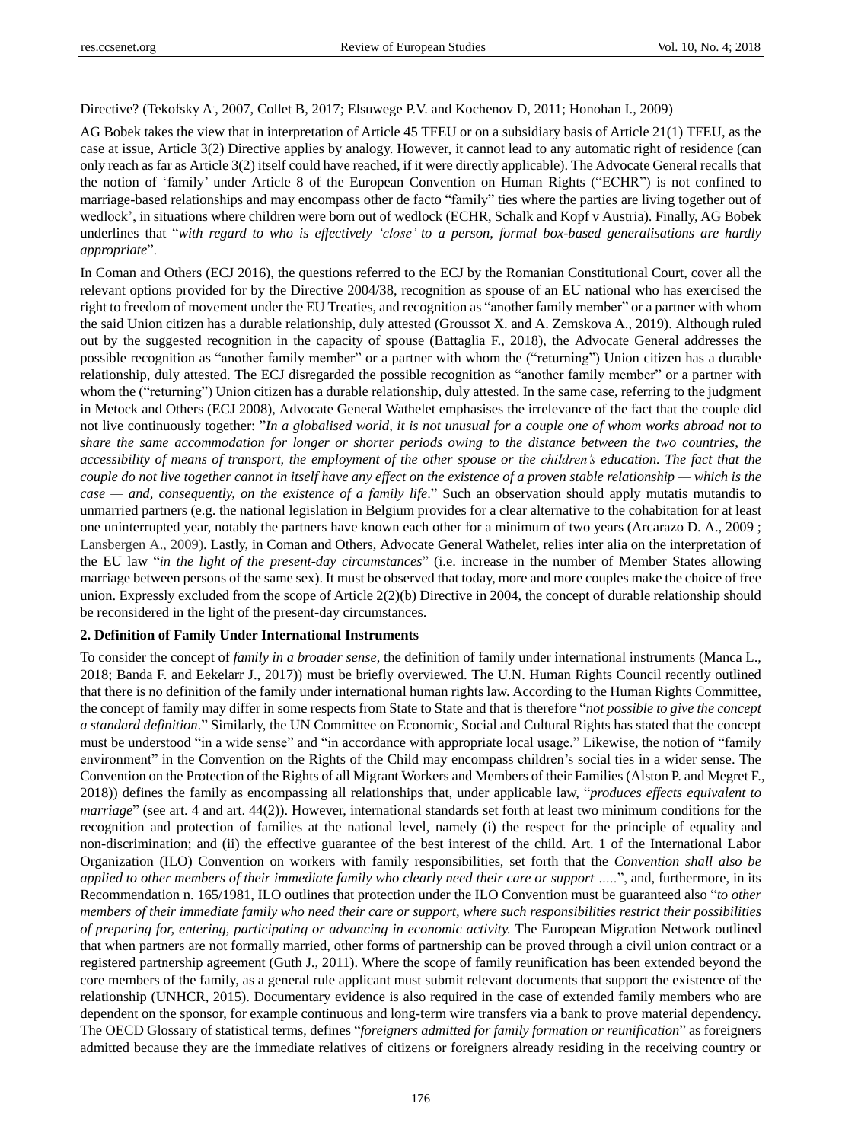# Directive? (Tekofsky A, 2007, Collet B, 2017; Elsuwege P.V. and Kochenov D, 2011; Honohan I., 2009)

AG Bobek takes the view that in interpretation of Article 45 TFEU or on a subsidiary basis of Article 21(1) TFEU, as the case at issue, Article 3(2) Directive applies by analogy. However, it cannot lead to any automatic right of residence (can only reach as far as Article 3(2) itself could have reached, if it were directly applicable). The Advocate General recalls that the notion of "family" under Article 8 of the European Convention on Human Rights ("ECHR") is not confined to marriage-based relationships and may encompass other de facto "family" ties where the parties are living together out of wedlock", in situations where children were born out of wedlock (ECHR, Schalk and Kopf v Austria). Finally, AG Bobek underlines that "*with regard to who is effectively "close" to a person, formal box-based generalisations are hardly appropriate*".

In Coman and Others (ECJ 2016), the questions referred to the ECJ by the Romanian Constitutional Court, cover all the relevant options provided for by the Directive 2004/38, recognition as spouse of an EU national who has exercised the right to freedom of movement under the EU Treaties, and recognition as "another family member" or a partner with whom the said Union citizen has a durable relationship, duly attested (Groussot X. and A. Zemskova A., 2019). Although ruled out by the suggested recognition in the capacity of spouse (Battaglia F., 2018), the Advocate General addresses the possible recognition as "another family member" or a partner with whom the ("returning") Union citizen has a durable relationship, duly attested. The ECJ disregarded the possible recognition as "another family member" or a partner with whom the ("returning") Union citizen has a durable relationship, duly attested. In the same case, referring to the judgment in Metock and Others (ECJ 2008), Advocate General Wathelet emphasises the irrelevance of the fact that the couple did not live continuously together: "In a globalised world, it is not unusual for a couple one of whom works abroad not to share the same accommodation for longer or shorter periods owing to the distance between the two countries, the accessibility of means of transport, the employment of the other spouse or the children's education. The fact that the couple do not live together cannot in itself have any effect on the existence of a proven stable relationship — which is the *case — and, consequently, on the existence of a family life*." Such an observation should apply mutatis mutandis to unmarried partners (e.g. the national legislation in Belgium provides for a clear alternative to the cohabitation for at least one uninterrupted year, notably the partners have known each other for a minimum of two years (Arcarazo D. A., 2009 ; Lansbergen A., 2009). Lastly, in Coman and Others, Advocate General Wathelet, relies inter alia on the interpretation of the EU law "*in the light of the present-day circumstances*" (i.e. increase in the number of Member States allowing marriage between persons of the same sex). It must be observed that today, more and more couples make the choice of free union. Expressly excluded from the scope of Article 2(2)(b) Directive in 2004, the concept of durable relationship should be reconsidered in the light of the present-day circumstances.

#### **2. Definition of Family Under International Instruments**

To consider the concept of *family in a broader sense*, the definition of family under international instruments (Manca L., 2018; Banda F. and Eekelarr J., 2017)) must be briefly overviewed. The U.N. Human Rights Council recently outlined that there is no definition of the family under international human rights law. According to the Human Rights Committee, the concept of family may differ in some respects from State to State and that is therefore "*not possible to give the concept a standard definition*." Similarly, the UN Committee on Economic, Social and Cultural Rights has stated that the concept must be understood "in a wide sense" and "in accordance with appropriate local usage." Likewise, the notion of "family environment" in the Convention on the Rights of the Child may encompass children"s social ties in a wider sense. The Convention on the Protection of the Rights of all Migrant Workers and Members of their Families (Alston P. and Megret F., 2018)) defines the family as encompassing all relationships that, under applicable law, "*produces effects equivalent to marriage*" (see art. 4 and art. 44(2)). However, international standards set forth at least two minimum conditions for the recognition and protection of families at the national level, namely (i) the respect for the principle of equality and non-discrimination; and (ii) the effective guarantee of the best interest of the child. Art. 1 of the International Labor Organization (ILO) Convention on workers with family responsibilities, set forth that the *Convention shall also be* applied to other members of their immediate family who clearly need their care or support .....", and, furthermore, in its Recommendation n. 165/1981, ILO outlines that protection under the ILO Convention must be guaranteed also "*to other* members of their immediate family who need their care or support, where such responsibilities restrict their possibilities *of preparing for, entering, participating or advancing in economic activity.* The European Migration Network outlined that when partners are not formally married, other forms of partnership can be proved through a civil union contract or a registered partnership agreement (Guth J., 2011). Where the scope of family reunification has been extended beyond the core members of the family, as a general rule applicant must submit relevant documents that support the existence of the relationship (UNHCR, 2015). Documentary evidence is also required in the case of extended family members who are dependent on the sponsor, for example continuous and long-term wire transfers via a bank to prove material dependency. The OECD Glossary of statistical terms, defines "*foreigners admitted for family formation or reunification*" as foreigners admitted because they are the immediate relatives of citizens or foreigners already residing in the receiving country or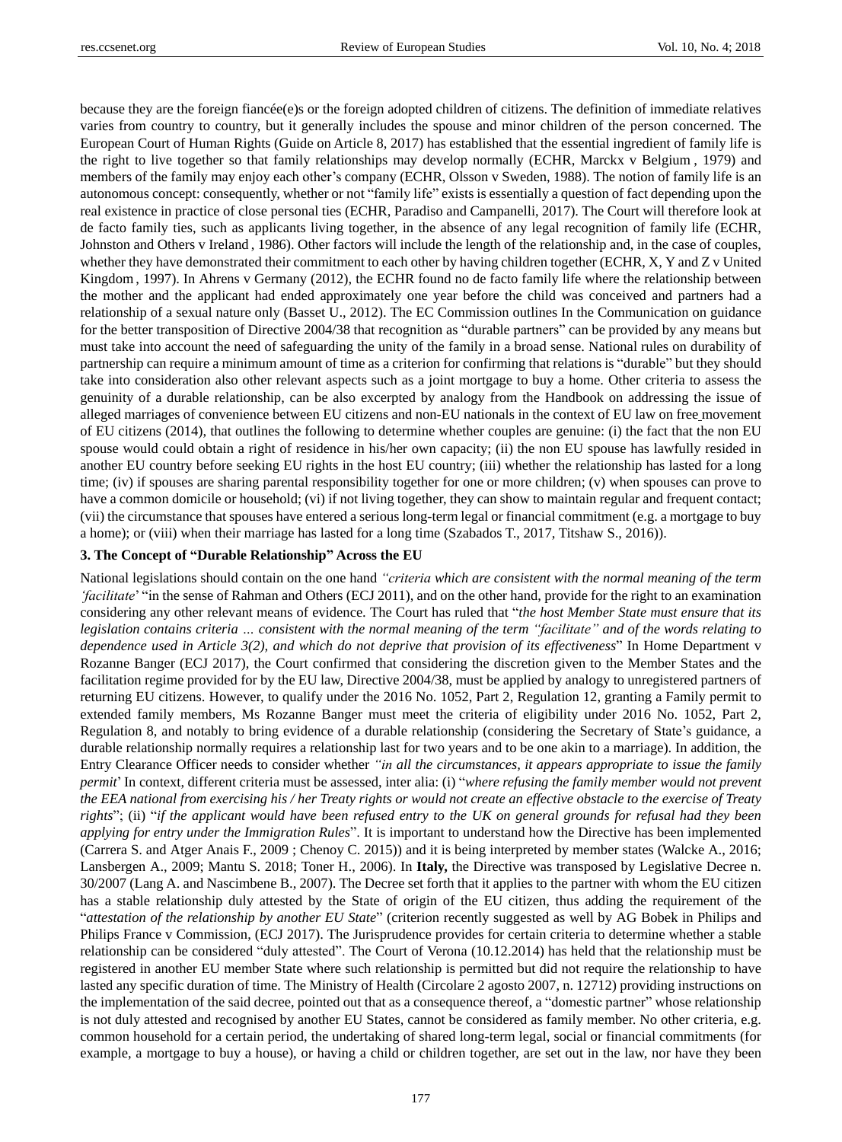because they are the foreign fianc  $\acute{\mathbf{e}}(e)$ s or the foreign adopted children of citizens. The definition of immediate relatives varies from country to country, but it generally includes the spouse and minor children of the person concerned. The European Court of Human Rights (Guide on Article 8, 2017) has established that the essential ingredient of family life is the right to live together so that family relationships may develop normally (ECHR, Marckx v Belgium , 1979) and members of the family may enjoy each other's company (ECHR, Olsson v Sweden, 1988). The notion of family life is an autonomous concept: consequently, whether or not "family life" exists is essentially a question of fact depending upon the real existence in practice of close personal ties (ECHR, Paradiso and Campanelli, 2017). The Court will therefore look at de facto family ties, such as applicants living together, in the absence of any legal recognition of family life (ECHR, Johnston and Others v Ireland , 1986). Other factors will include the length of the relationship and, in the case of couples, whether they have demonstrated their commitment to each other by having children together (ECHR, X, Y and Z v United Kingdom, 1997). In Ahrens v Germany (2012), the ECHR found no de facto family life where the relationship between the mother and the applicant had ended approximately one year before the child was conceived and partners had a relationship of a sexual nature only (Basset U., 2012). The EC Commission outlines In the Communication on guidance for the better transposition of Directive 2004/38 that recognition as "durable partners" can be provided by any means but must take into account the need of safeguarding the unity of the family in a broad sense. National rules on durability of partnership can require a minimum amount of time as a criterion for confirming that relations is "durable" but they should take into consideration also other relevant aspects such as a joint mortgage to buy a home. Other criteria to assess the genuinity of a durable relationship, can be also excerpted by analogy from the Handbook on addressing the issue of alleged marriages of convenience between EU citizens and non-EU nationals in the context of EU law on free movement of EU citizens (2014), that outlines the following to determine whether couples are genuine: (i) the fact that the non EU spouse would could obtain a right of residence in his/her own capacity; (ii) the non EU spouse has lawfully resided in another EU country before seeking EU rights in the host EU country; (iii) whether the relationship has lasted for a long time; (iv) if spouses are sharing parental responsibility together for one or more children; (v) when spouses can prove to have a common domicile or household; (vi) if not living together, they can show to maintain regular and frequent contact; (vii) the circumstance that spouses have entered a serious long-term legal or financial commitment (e.g. a mortgage to buy a home); or (viii) when their marriage has lasted for a long time (Szabados T., 2017, Titshaw S., 2016)).

#### **3. The Concept of "Durable Relationship" Across the EU**

National legislations should contain on the one hand *"criteria which are consistent with the normal meaning of the term "facilitate*" "in the sense of Rahman and Others (ECJ 2011), and on the other hand, provide for the right to an examination considering any other relevant means of evidence. The Court has ruled that "*the host Member State must ensure that its* legislation contains criteria ... consistent with the normal meaning of the term "facilitate" and of the words relating to *dependence used in Article 3(2), and which do not deprive that provision of its effectiveness*" In Home Department v Rozanne Banger (ECJ 2017), the Court confirmed that considering the discretion given to the Member States and the facilitation regime provided for by the EU law, Directive 2004/38, must be applied by analogy to unregistered partners of returning EU citizens. However, to qualify under the 2016 No. [1052,](http://www.legislation.gov.uk/uksi/2016/1052/made) [Part](http://www.legislation.gov.uk/uksi/2016/1052/part/2/made) 2, Regulation 12, granting a Family permit to extended family members, Ms Rozanne Banger must meet the criteria of eligibility under 2016 No. [1052,](http://www.legislation.gov.uk/uksi/2016/1052/made) [Part](http://www.legislation.gov.uk/uksi/2016/1052/part/2/made) 2, Regulation 8, and notably to bring evidence of a durable relationship (considering the Secretary of State"s guidance, a durable relationship normally requires a relationship last for two years and to be one akin to a marriage). In addition, the Entry Clearance Officer needs to consider whether *"in all the circumstances, it appears appropriate to issue the family permit*" In context, different criteria must be assessed, inter alia: (i) "*where refusing the family member would not prevent* the EEA national from exercising his / her Treaty rights or would not create an effective obstacle to the exercise of Treaty rights"; (ii) "if the applicant would have been refused entry to the UK on general grounds for refusal had they been *applying for entry under the Immigration Rules*". It is important to understand how the Directive has been implemented (Carrera S. and Atger Anais F., 2009 ; Chenoy C. 2015)) and it is being interpreted by member states (Walcke A., 2016; Lansbergen A., 2009; Mantu S. 2018; Toner H., 2006). In **Italy,** the Directive was transposed by Legislative Decree n. 30/2007 (Lang A. and Nascimbene B., 2007). The Decree set forth that it applies to the partner with whom the EU citizen has a stable relationship duly attested by the State of origin of the EU citizen, thus adding the requirement of the "*attestation of the relationship by another EU State*" (criterion recently suggested as well by AG Bobek in Philips and Philips France v Commission, (ECJ 2017). The Jurisprudence provides for certain criteria to determine whether a stable relationship can be considered "duly attested". The Court of Verona (10.12.2014) has held that the relationship must be registered in another EU member State where such relationship is permitted but did not require the relationship to have lasted any specific duration of time. The Ministry of Health (Circolare 2 agosto 2007, n. 12712) providing instructions on the implementation of the said decree, pointed out that as a consequence thereof, a "domestic partner" whose relationship is not duly attested and recognised by another EU States, cannot be considered as family member. No other criteria, e.g. common household for a certain period, the undertaking of shared long-term legal, social or financial commitments (for example, a mortgage to buy a house), or having a child or children together, are set out in the law, nor have they been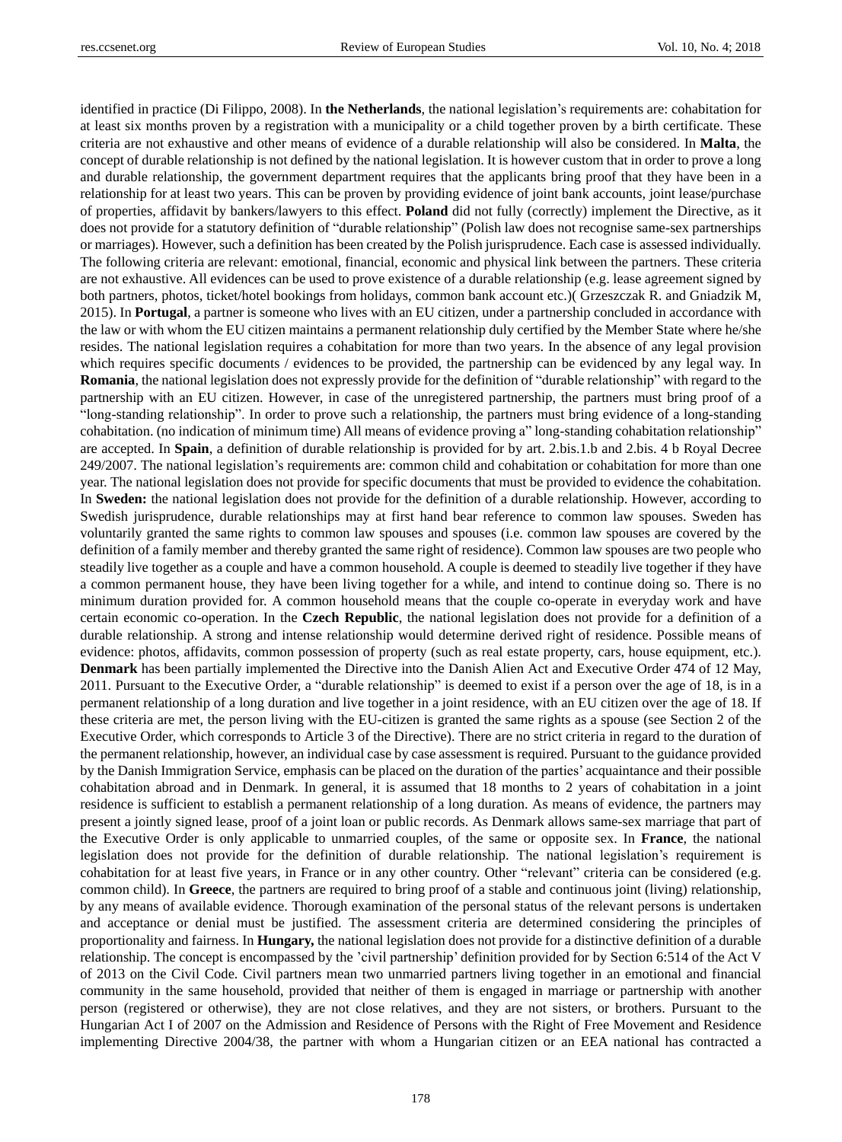identified in practice (Di Filippo, 2008). In **the Netherlands**, the national legislation"s requirements are: cohabitation for at least six months proven by a registration with a municipality or a child together proven by a birth certificate. These criteria are not exhaustive and other means of evidence of a durable relationship will also be considered. In **Malta**, the concept of durable relationship is not defined by the national legislation. It is however custom that in order to prove a long and durable relationship, the government department requires that the applicants bring proof that they have been in a relationship for at least two years. This can be proven by providing evidence of joint bank accounts, joint lease/purchase of properties, affidavit by bankers/lawyers to this effect. **Poland** did not fully (correctly) implement the Directive, as it does not provide for a statutory definition of "durable relationship" (Polish law does not recognise same-sex partnerships or marriages). However, such a definition has been created by the Polish jurisprudence. Each case is assessed individually. The following criteria are relevant: emotional, financial, economic and physical link between the partners. These criteria are not exhaustive. All evidences can be used to prove existence of a durable relationship (e.g. lease agreement signed by both partners, photos, ticket/hotel bookings from holidays, common bank account etc.)( Grzeszczak R. and Gniadzik M, 2015). In **Portugal**, a partner is someone who lives with an EU citizen, under a partnership concluded in accordance with the law or with whom the EU citizen maintains a permanent relationship duly certified by the Member State where he/she resides. The national legislation requires a cohabitation for more than two years. In the absence of any legal provision which requires specific documents / evidences to be provided, the partnership can be evidenced by any legal way. In **Romania**, the national legislation does not expressly provide for the definition of "durable relationship" with regard to the partnership with an EU citizen. However, in case of the unregistered partnership, the partners must bring proof of a "long-standing relationship". In order to prove such a relationship, the partners must bring evidence of a long-standing cohabitation. (no indication of minimum time) All means of evidence proving a" long-standing cohabitation relationship" are accepted. In **Spain**, a definition of durable relationship is provided for by art. 2.bis.1.b and 2.bis. 4 b Royal Decree 249/2007. The national legislation"s requirements are: common child and cohabitation or cohabitation for more than one year. The national legislation does not provide for specific documents that must be provided to evidence the cohabitation. In **Sweden:** the national legislation does not provide for the definition of a durable relationship. However, according to Swedish jurisprudence, durable relationships may at first hand bear reference to common law spouses. Sweden has voluntarily granted the same rights to common law spouses and spouses (i.e. common law spouses are covered by the definition of a family member and thereby granted the same right of residence). Common law spouses are two people who steadily live together as a couple and have a common household. A couple is deemed to steadily live together if they have a common permanent house, they have been living together for a while, and intend to continue doing so. There is no minimum duration provided for. A common household means that the couple co-operate in everyday work and have certain economic co-operation. In the **Czech Republic**, the national legislation does not provide for a definition of a durable relationship. A strong and intense relationship would determine derived right of residence. Possible means of evidence: photos, affidavits, common possession of property (such as real estate property, cars, house equipment, etc.). **Denmark** has been partially implemented the Directive into the Danish Alien Act and Executive Order 474 of 12 May, 2011. Pursuant to the Executive Order, a "durable relationship" is deemed to exist if a person over the age of 18, is in a permanent relationship of a long duration and live together in a joint residence, with an EU citizen over the age of 18. If these criteria are met, the person living with the EU-citizen is granted the same rights as a spouse (see Section 2 of the Executive Order, which corresponds to Article 3 of the Directive). There are no strict criteria in regard to the duration of the permanent relationship, however, an individual case by case assessment is required. Pursuant to the guidance provided by the Danish Immigration Service, emphasis can be placed on the duration of the parties" acquaintance and their possible cohabitation abroad and in Denmark. In general, it is assumed that 18 months to 2 years of cohabitation in a joint residence is sufficient to establish a permanent relationship of a long duration. As means of evidence, the partners may present a jointly signed lease, proof of a joint loan or public records. As Denmark allows same-sex marriage that part of the Executive Order is only applicable to unmarried couples, of the same or opposite sex. In **France**, the national legislation does not provide for the definition of durable relationship. The national legislation"s requirement is cohabitation for at least five years, in France or in any other country. Other "relevant" criteria can be considered (e.g. common child). In **Greece**, the partners are required to bring proof of a stable and continuous joint (living) relationship, by any means of available evidence. Thorough examination of the personal status of the relevant persons is undertaken and acceptance or denial must be justified. The assessment criteria are determined considering the principles of proportionality and fairness. In **Hungary,** the national legislation does not provide for a distinctive definition of a durable relationship. The concept is encompassed by the "civil partnership" definition provided for by Section 6:514 of the Act V of 2013 on the Civil Code. Civil partners mean two unmarried partners living together in an emotional and financial community in the same household, provided that neither of them is engaged in marriage or partnership with another person (registered or otherwise), they are not close relatives, and they are not sisters, or brothers. Pursuant to the Hungarian Act I of 2007 on the Admission and Residence of Persons with the Right of Free Movement and Residence implementing Directive 2004/38, the partner with whom a Hungarian citizen or an EEA national has contracted a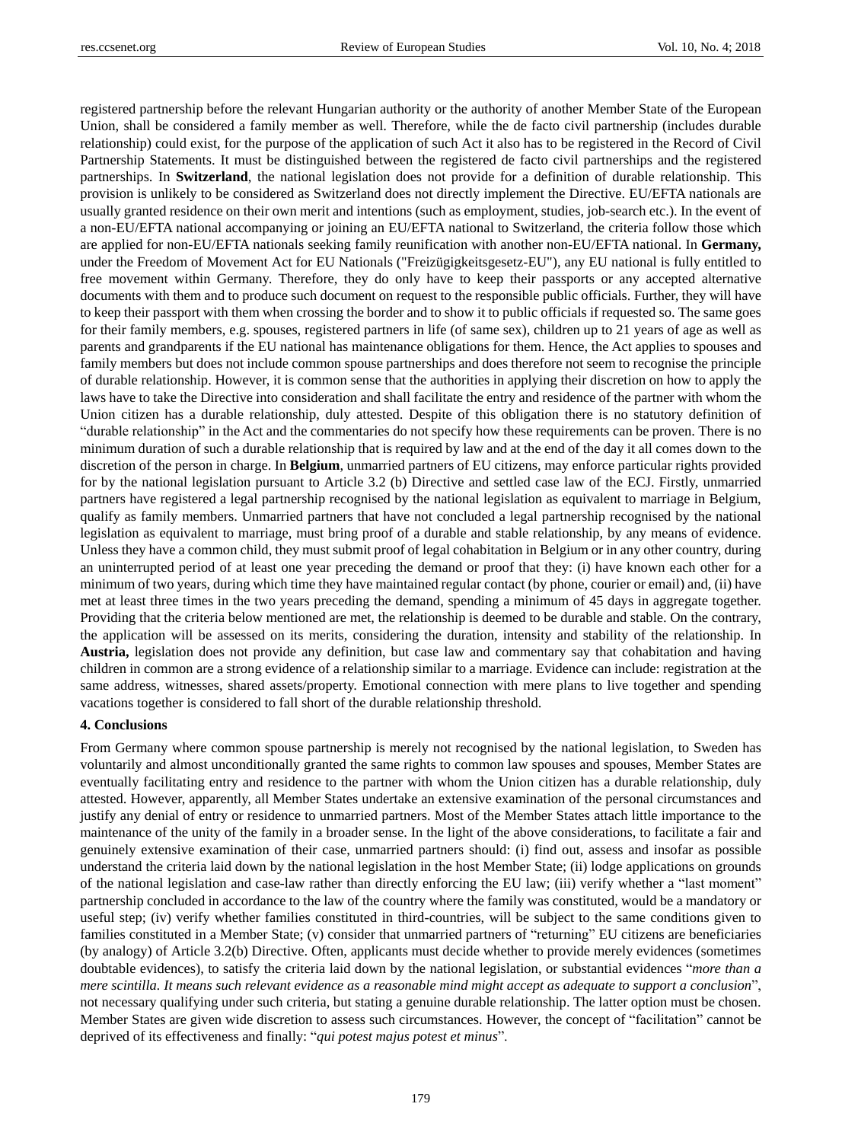registered partnership before the relevant Hungarian authority or the authority of another Member State of the European Union, shall be considered a family member as well. Therefore, while the de facto civil partnership (includes durable relationship) could exist, for the purpose of the application of such Act it also has to be registered in the Record of Civil Partnership Statements. It must be distinguished between the registered de facto civil partnerships and the registered partnerships. In **Switzerland**, the national legislation does not provide for a definition of durable relationship. This provision is unlikely to be considered as Switzerland does not directly implement the Directive. EU/EFTA nationals are usually granted residence on their own merit and intentions (such as employment, studies, job-search etc.). In the event of a non-EU/EFTA national accompanying or joining an EU/EFTA national to Switzerland, the criteria follow those which are applied for non-EU/EFTA nationals seeking family reunification with another non-EU/EFTA national. In **Germany,** under the Freedom of Movement Act for EU Nationals ("Freizügigkeitsgesetz-EU"), any EU national is fully entitled to free movement within Germany. Therefore, they do only have to keep their passports or any accepted alternative documents with them and to produce such document on request to the responsible public officials. Further, they will have to keep their passport with them when crossing the border and to show it to public officials if requested so. The same goes for their family members, e.g. spouses, registered partners in life (of same sex), children up to 21 years of age as well as parents and grandparents if the EU national has maintenance obligations for them. Hence, the Act applies to spouses and family members but does not include common spouse partnerships and does therefore not seem to recognise the principle of durable relationship. However, it is common sense that the authorities in applying their discretion on how to apply the laws have to take the Directive into consideration and shall facilitate the entry and residence of the partner with whom the Union citizen has a durable relationship, duly attested. Despite of this obligation there is no statutory definition of "durable relationship" in the Act and the commentaries do not specify how these requirements can be proven. There is no minimum duration of such a durable relationship that is required by law and at the end of the day it all comes down to the discretion of the person in charge. In **Belgium**, unmarried partners of EU citizens, may enforce particular rights provided for by the national legislation pursuant to Article 3.2 (b) Directive and settled case law of the ECJ. Firstly, unmarried partners have registered a legal partnership recognised by the national legislation as equivalent to marriage in Belgium, qualify as family members. Unmarried partners that have not concluded a legal partnership recognised by the national legislation as equivalent to marriage, must bring proof of a durable and stable relationship, by any means of evidence. Unless they have a common child, they must submit proof of legal cohabitation in Belgium or in any other country, during an uninterrupted period of at least one year preceding the demand or proof that they: (i) have known each other for a minimum of two years, during which time they have maintained regular contact (by phone, courier or email) and, (ii) have met at least three times in the two years preceding the demand, spending a minimum of 45 days in aggregate together. Providing that the criteria below mentioned are met, the relationship is deemed to be durable and stable. On the contrary, the application will be assessed on its merits, considering the duration, intensity and stability of the relationship. In **Austria,** legislation does not provide any definition, but case law and commentary say that cohabitation and having children in common are a strong evidence of a relationship similar to a marriage. Evidence can include: registration at the same address, witnesses, shared assets/property. Emotional connection with mere plans to live together and spending vacations together is considered to fall short of the durable relationship threshold.

#### **4. Conclusions**

From Germany where common spouse partnership is merely not recognised by the national legislation, to Sweden has voluntarily and almost unconditionally granted the same rights to common law spouses and spouses, Member States are eventually facilitating entry and residence to the partner with whom the Union citizen has a durable relationship, duly attested. However, apparently, all Member States undertake an extensive examination of the personal circumstances and justify any denial of entry or residence to unmarried partners. Most of the Member States attach little importance to the maintenance of the unity of the family in a broader sense. In the light of the above considerations, to facilitate a fair and genuinely extensive examination of their case, unmarried partners should: (i) find out, assess and insofar as possible understand the criteria laid down by the national legislation in the host Member State; (ii) lodge applications on grounds of the national legislation and case-law rather than directly enforcing the EU law; (iii) verify whether a "last moment" partnership concluded in accordance to the law of the country where the family was constituted, would be a mandatory or useful step; (iv) verify whether families constituted in third-countries, will be subject to the same conditions given to families constituted in a Member State; (v) consider that unmarried partners of "returning" EU citizens are beneficiaries (by analogy) of Article 3.2(b) Directive. Often, applicants must decide whether to provide merely evidences (sometimes doubtable evidences), to satisfy the criteria laid down by the national legislation, or substantial evidences "*more than a* mere scintilla. It means such relevant evidence as a reasonable mind might accept as adequate to support a conclusion", not necessary qualifying under such criteria, but stating a genuine durable relationship. The latter option must be chosen. Member States are given wide discretion to assess such circumstances. However, the concept of "facilitation" cannot be deprived of its effectiveness and finally: "*qui potest majus potest et minus*".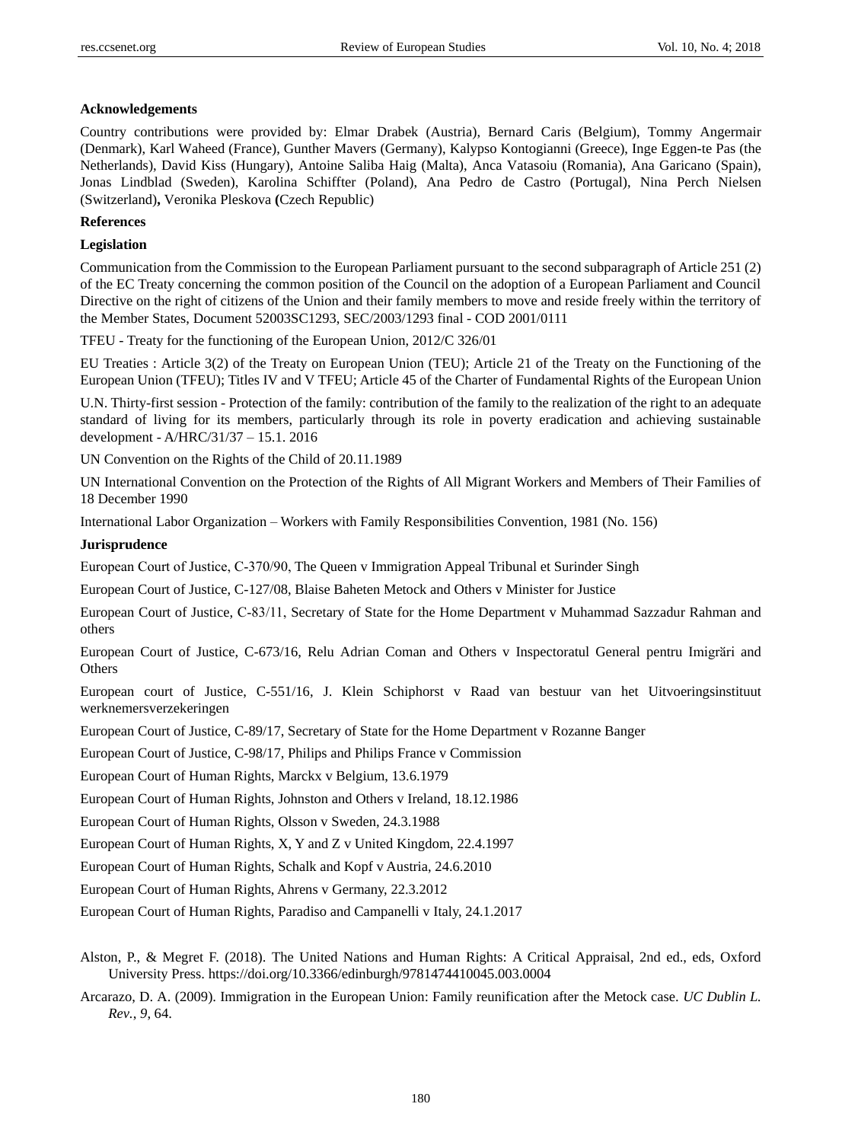#### **Acknowledgements**

Country contributions were provided by: Elmar Drabek (Austria), Bernard Caris (Belgium), Tommy Angermair (Denmark), Karl Waheed (France), Gunther Mavers (Germany), Kalypso Kontogianni (Greece), Inge Eggen-te Pas (the Netherlands), David Kiss (Hungary), Antoine Saliba Haig (Malta), Anca Vatasoiu (Romania), Ana Garicano (Spain), Jonas Lindblad (Sweden), Karolina Schiffter (Poland), Ana Pedro de Castro (Portugal), Nina Perch Nielsen (Switzerland)**,** Veronika Pleskova **(**Czech Republic)

# **References**

#### **Legislation**

Communication from the Commission to the European Parliament pursuant to the second subparagraph of Article 251 (2) of the EC Treaty concerning the common position of the Council on the adoption of a European Parliament and Council Directive on the right of citizens of the Union and their family members to move and reside freely within the territory of the Member States, Document 52003SC1293, SEC/2003/1293 final - COD 2001/0111

TFEU - Treaty for the functioning of the European Union, 2012/C 326/01

EU Treaties : Article 3(2) of the Treaty on European Union (TEU); Article 21 of the Treaty on the Functioning of the European Union (TFEU); Titles IV and V TFEU; Article 45 of the Charter of Fundamental Rights of the European Union

U.N. Thirty-first session - Protection of the family: contribution of the family to the realization of the right to an adequate standard of living for its members, particularly through its role in poverty eradication and achieving sustainable development - A/HRC/31/37 – 15.1. 2016

UN Convention on the Rights of the Child of 20.11.1989

UN International Convention on the Protection of the Rights of All Migrant Workers and Members of Their Families of 18 December 1990

International Labor Organization – Workers with Family Responsibilities Convention, 1981 (No. 156)

## **Jurisprudence**

European Court of Justice, C‑370/90, The Queen v Immigration Appeal Tribunal et Surinder Singh

European Court of Justice, C-127/08, Blaise Baheten Metock and Others v Minister for Justice

European Court of Justice, C‑83/11, Secretary of State for the Home Department v Muhammad Sazzadur Rahman and others

European Court of Justice, C-673/16, Relu Adrian Coman and Others v Inspectoratul General pentru Imigrări and **Others** 

European court of Justice, C-551/16, J. Klein Schiphorst v Raad van bestuur van het Uitvoeringsinstituut werknemersverzekeringen

European Court of Justice, C-89/17, Secretary of State for the Home Department v Rozanne Banger

European Court of Justice, C-98/17, Philips and Philips France v Commission

European Court of Human Rights, Marckx v Belgium, 13.6.1979

European Court of Human Rights, Johnston and Others v Ireland, 18.12.1986

European Court of Human Rights, Olsson v Sweden, 24.3.1988

European Court of Human Rights, X, Y and Z v United Kingdom, 22.4.1997

European Court of Human Rights, Schalk and Kopf v Austria, 24.6.2010

European Court of Human Rights, Ahrens v Germany, 22.3.2012

European Court of Human Rights, Paradiso and Campanelli v Italy, 24.1.2017

Alston, P., & Megret F. (2018). The United Nations and Human Rights: A Critical Appraisal, 2nd ed., eds, Oxford University Press. <https://doi.org/10.3366/edinburgh/9781474410045.003.0004>

Arcarazo, D. A. (2009). Immigration in the European Union: Family reunification after the Metock case. *UC Dublin L. Rev.*, *9*, 64.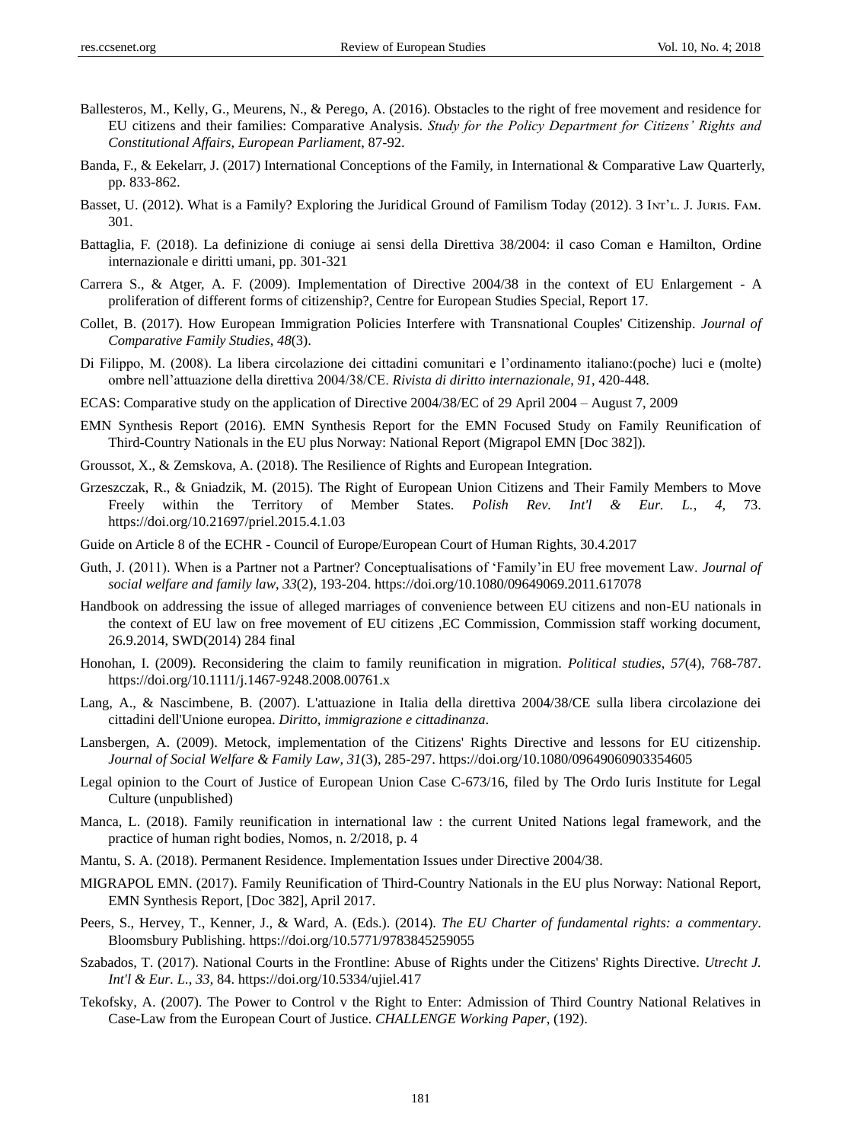- Ballesteros, M., Kelly, G., Meurens, N., & Perego, A. (2016). Obstacles to the right of free movement and residence for EU citizens and their families: Comparative Analysis. *Study for the Policy Department for Citizens" Rights and Constitutional Affairs, European Parliament*, 87-92.
- Banda, F., & Eekelarr, J. (2017) International Conceptions of the Family, in International & Comparative Law Quarterly, pp. 833-862.
- Basset, U. (2012). What is a Family? Exploring the Juridical Ground of Familism Today (2012). 3 Iwr'L. J. JURIS. FAM. 301.
- Battaglia, F. (2018). La definizione di coniuge ai sensi della Direttiva 38/2004: il caso Coman e Hamilton, Ordine internazionale e diritti umani, pp. 301-321
- Carrera S., & Atger, A. F. (2009). Implementation of Directive 2004/38 in the context of EU Enlargement A proliferation of different forms of citizenship?, Centre for European Studies Special, Report 17.
- Collet, B. (2017). How European Immigration Policies Interfere with Transnational Couples' Citizenship. *Journal of Comparative Family Studies*, *48*(3).
- Di Filippo, M. (2008). La libera circolazione dei cittadini comunitari e l"ordinamento italiano:(poche) luci e (molte) ombre nell"attuazione della direttiva 2004/38/CE. *Rivista di diritto internazionale*, *91*, 420-448.
- ECAS: Comparative study on the application of Directive 2004/38/EC of 29 April 2004 August 7, 2009
- EMN Synthesis Report (2016). EMN Synthesis Report for the EMN Focused Study on Family Reunification of Third-Country Nationals in the EU plus Norway: National Report (Migrapol EMN [Doc 382]).
- Groussot, X., & Zemskova, A. (2018). The Resilience of Rights and European Integration.
- Grzeszczak, R., & Gniadzik, M. (2015). The Right of European Union Citizens and Their Family Members to Move Freely within the Territory of Member States. *Polish Rev. Int'l & Eur. L.*, *4*, 73. <https://doi.org/10.21697/priel.2015.4.1.03>
- Guide on Article 8 of the ECHR Council of Europe/European Court of Human Rights, 30.4.2017
- Guth, J. (2011). When is a Partner not a Partner? Conceptualisations of "Family"in EU free movement Law. *Journal of social welfare and family law*, *33*(2), 193-204. <https://doi.org/10.1080/09649069.2011.617078>
- Handbook on addressing the issue of alleged marriages of convenience between EU citizens and non-EU nationals in the context of EU law on free movement of EU citizens ,EC Commission, Commission staff working document, 26.9.2014, SWD(2014) 284 final
- Honohan, I. (2009). Reconsidering the claim to family reunification in migration. *Political studies*, *57*(4), 768-787. <https://doi.org/10.1111/j.1467-9248.2008.00761.x>
- Lang, A., & Nascimbene, B. (2007). L'attuazione in Italia della direttiva 2004/38/CE sulla libera circolazione dei cittadini dell'Unione europea. *Diritto, immigrazione e cittadinanza*.
- Lansbergen, A. (2009). Metock, implementation of the Citizens' Rights Directive and lessons for EU citizenship. *Journal of Social Welfare & Family Law*, *31*(3), 285-297. <https://doi.org/10.1080/09649060903354605>
- Legal opinion to the Court of Justice of European Union Case C-673/16, filed by The Ordo Iuris Institute for Legal Culture (unpublished)
- Manca, L. (2018). Family reunification in international law : the current United Nations legal framework, and the practice of human right bodies, Nomos, n. 2/2018, p. 4
- Mantu, S. A. (2018). Permanent Residence. Implementation Issues under Directive 2004/38.
- MIGRAPOL EMN. (2017). Family Reunification of Third-Country Nationals in the EU plus Norway: National Report, EMN Synthesis Report, [Doc 382], April 2017.
- Peers, S., Hervey, T., Kenner, J., & Ward, A. (Eds.). (2014). *The EU Charter of fundamental rights: a commentary*. Bloomsbury Publishing. <https://doi.org/10.5771/9783845259055>
- Szabados, T. (2017). National Courts in the Frontline: Abuse of Rights under the Citizens' Rights Directive. *Utrecht J. Int'l & Eur. L.*, *33*, 84. <https://doi.org/10.5334/ujiel.417>
- Tekofsky, A. (2007). The Power to Control v the Right to Enter: Admission of Third Country National Relatives in Case-Law from the European Court of Justice. *CHALLENGE Working Paper*, (192).